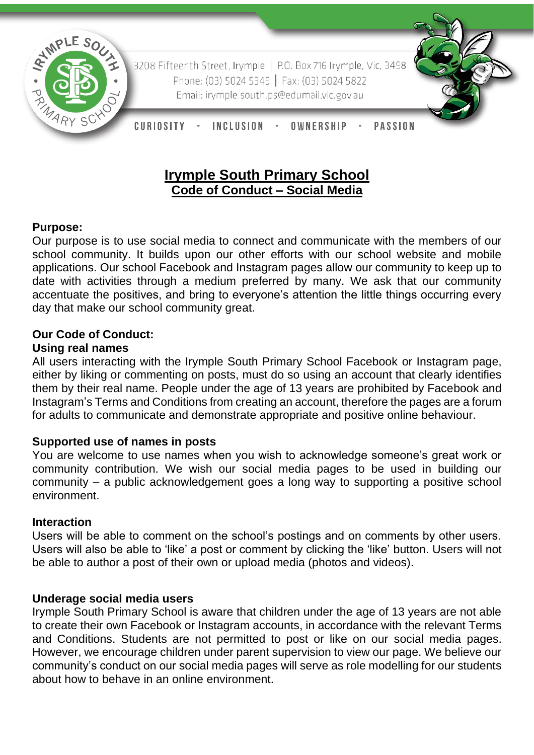

3208 Fifteenth Street, Irymple | P.O. Box 716 Irymple, Vic, 3498 Phone: (03) 5024 5345 | Fax: (03) 5024 5822 Email: irymple.south.ps@edumail.vic.gov.au



CURIOSITY -INCLUSION -OWNERSHIP **PASSION** 

# **Irymple South Primary School Code of Conduct – Social Media**

## **Purpose:**

Our purpose is to use social media to connect and communicate with the members of our school community. It builds upon our other efforts with our school website and mobile applications. Our school Facebook and Instagram pages allow our community to keep up to date with activities through a medium preferred by many. We ask that our community accentuate the positives, and bring to everyone's attention the little things occurring every day that make our school community great.

# **Our Code of Conduct:**

## **Using real names**

All users interacting with the Irymple South Primary School Facebook or Instagram page, either by liking or commenting on posts, must do so using an account that clearly identifies them by their real name. People under the age of 13 years are prohibited by Facebook and Instagram's Terms and Conditions from creating an account, therefore the pages are a forum for adults to communicate and demonstrate appropriate and positive online behaviour.

# **Supported use of names in posts**

You are welcome to use names when you wish to acknowledge someone's great work or community contribution. We wish our social media pages to be used in building our community – a public acknowledgement goes a long way to supporting a positive school environment.

#### **Interaction**

Users will be able to comment on the school's postings and on comments by other users. Users will also be able to 'like' a post or comment by clicking the 'like' button. Users will not be able to author a post of their own or upload media (photos and videos).

#### **Underage social media users**

Irymple South Primary School is aware that children under the age of 13 years are not able to create their own Facebook or Instagram accounts, in accordance with the relevant Terms and Conditions. Students are not permitted to post or like on our social media pages. However, we encourage children under parent supervision to view our page. We believe our community's conduct on our social media pages will serve as role modelling for our students about how to behave in an online environment.